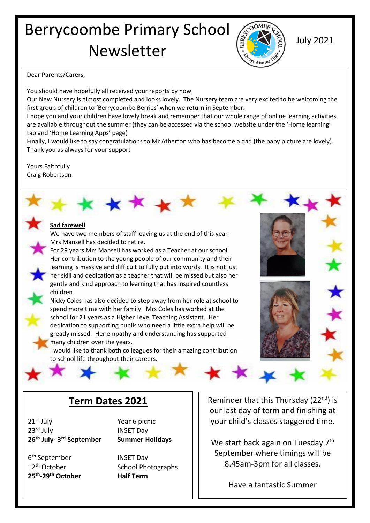# Berrycoombe Primary School

## Newsletter



July 2021

Dear Parents/Carers,

You should have hopefully all received your reports by now. Our New Nursery is almost completed and looks lovely. The Nursery team are very excited to be welcoming the first group of children to 'Berrycoombe Berries' when we return in September.

I hope you and your children have lovely break and remember that our whole range of online learning activities are available throughout the summer (they can be accessed via the school website under the 'Home learning' tab and 'Home Learning Apps' page)

Finally, I would like to say congratulations to Mr Atherton who has become a dad (the baby picture are lovely). Thank you as always for your support

Yours Faithfully Craig Robertson

#### **Sad farewell**

We have two members of staff leaving us at the end of this year-Mrs Mansell has decided to retire.

\*\*\*\*

For 29 years Mrs Mansell has worked as a Teacher at our school. Her contribution to the young people of our community and their learning is massive and difficult to fully put into words. It is not just her skill and dedication as a teacher that will be missed but also her gentle and kind approach to learning that has inspired countless children.

Nicky Coles has also decided to step away from her role at school to spend more time with her family. Mrs Coles has worked at the school for 21 years as a Higher Level Teaching Assistant. Her dedication to supporting pupils who need a little extra help will be greatly missed. Her empathy and understanding has supported many children over the years.

I would like to thank both colleagues for their amazing contribution to school life throughout their careers.





## **Term Dates 2021**

21<sup>st</sup> July Year 6 picnic 23rd July **INSET Day 26th July- 3**

6 th September INSET Day **25th -29th October Half Term**

**Summer Holidays** 

12<sup>th</sup> October School Photographs

Reminder that this Thursday (22nd) is our last day of term and finishing at your child's classes staggered time.

We start back again on Tuesday  $7<sup>th</sup>$ September where timings will be 8.45am-3pm for all classes.

Have a fantastic Summer